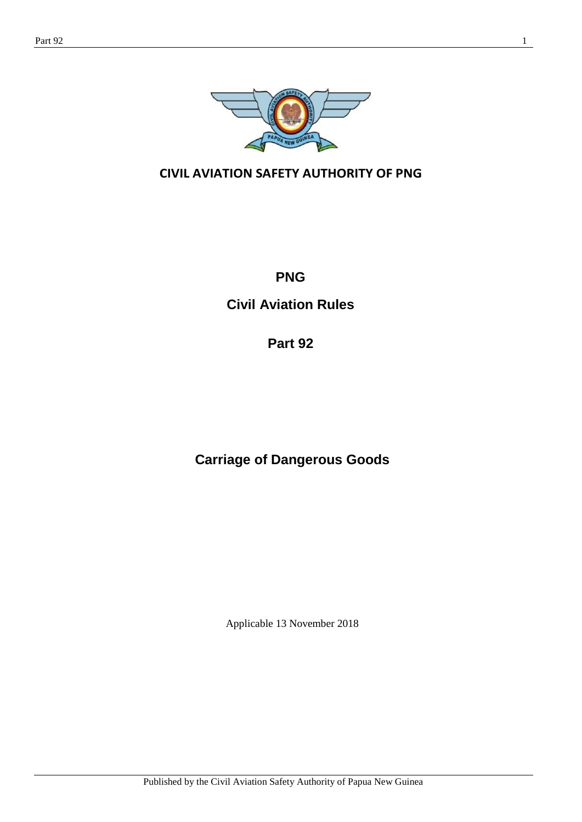

**CIVIL AVIATION SAFETY AUTHORITY OF PNG**

**PNG**

**Civil Aviation Rules** 

**Part 92**

# **Carriage of Dangerous Goods**

Applicable 13 November 2018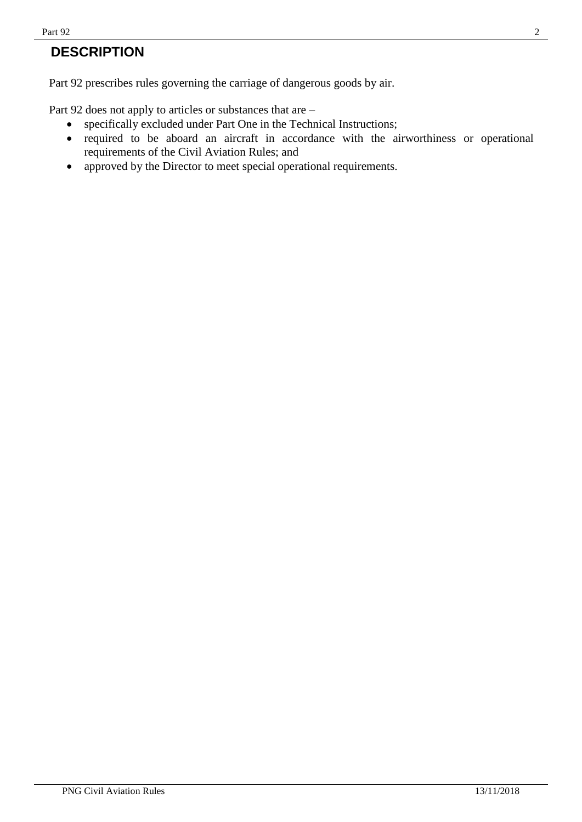# **DESCRIPTION**

Part 92 prescribes rules governing the carriage of dangerous goods by air.

Part 92 does not apply to articles or substances that are –

- specifically excluded under Part One in the Technical Instructions;
- required to be aboard an aircraft in accordance with the airworthiness or operational requirements of the Civil Aviation Rules; and
- approved by the Director to meet special operational requirements.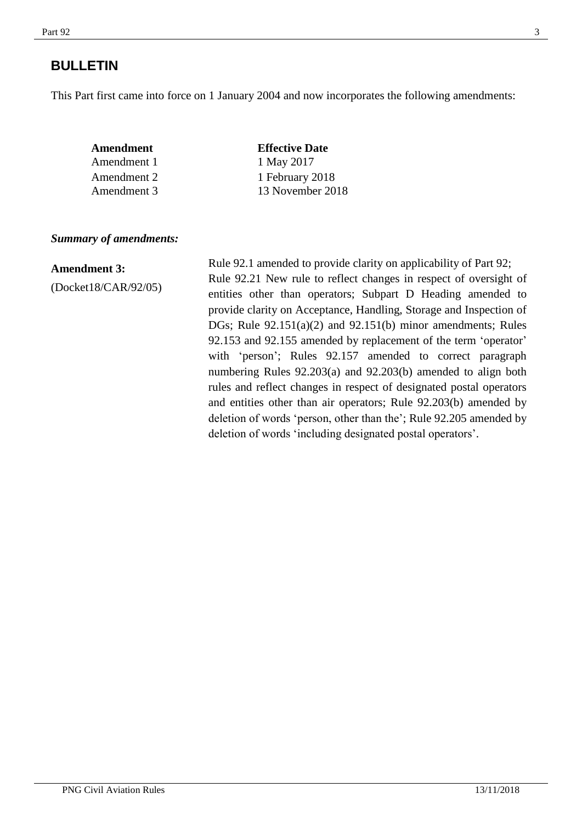# **BULLETIN**

This Part first came into force on 1 January 2004 and now incorporates the following amendments:

| Amendment   | <b>Effective Date</b> |
|-------------|-----------------------|
| Amendment 1 | 1 May 2017            |
| Amendment 2 | 1 February 2018       |
| Amendment 3 | 13 November 2018      |

### *Summary of amendments:*

#### **Amendment 3:**

(Docket18/CAR/92/05)

Rule 92.1 amended to provide clarity on applicability of Part 92; Rule 92.21 New rule to reflect changes in respect of oversight of entities other than operators; Subpart D Heading amended to provide clarity on Acceptance, Handling, Storage and Inspection of DGs; Rule 92.151(a)(2) and 92.151(b) minor amendments; Rules 92.153 and 92.155 amended by replacement of the term 'operator' with 'person'; Rules 92.157 amended to correct paragraph numbering Rules 92.203(a) and 92.203(b) amended to align both rules and reflect changes in respect of designated postal operators and entities other than air operators; Rule 92.203(b) amended by deletion of words 'person, other than the'; Rule 92.205 amended by deletion of words 'including designated postal operators'.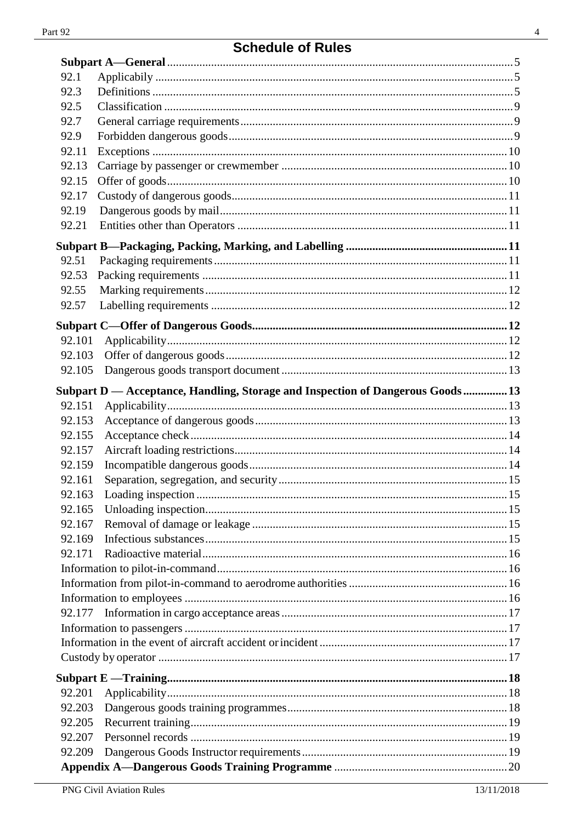# **Schedule of Rules**

| 92.1   |                                                                                |  |
|--------|--------------------------------------------------------------------------------|--|
| 92.3   |                                                                                |  |
| 92.5   |                                                                                |  |
| 92.7   |                                                                                |  |
| 92.9   |                                                                                |  |
| 92.11  |                                                                                |  |
| 92.13  |                                                                                |  |
| 92.15  |                                                                                |  |
| 92.17  |                                                                                |  |
| 92.19  |                                                                                |  |
| 92.21  |                                                                                |  |
|        |                                                                                |  |
| 92.51  |                                                                                |  |
| 92.53  |                                                                                |  |
| 92.55  |                                                                                |  |
| 92.57  |                                                                                |  |
|        |                                                                                |  |
| 92.101 |                                                                                |  |
| 92.103 |                                                                                |  |
| 92.105 |                                                                                |  |
|        |                                                                                |  |
|        | Subpart D — Acceptance, Handling, Storage and Inspection of Dangerous Goods 13 |  |
| 92.151 |                                                                                |  |
| 92.153 |                                                                                |  |
| 92.155 |                                                                                |  |
| 92.157 |                                                                                |  |
| 92.159 |                                                                                |  |
| 92.161 |                                                                                |  |
| 92.163 |                                                                                |  |
| 92.165 |                                                                                |  |
| 92.167 |                                                                                |  |
| 92.169 |                                                                                |  |
| 92.171 |                                                                                |  |
|        |                                                                                |  |
|        |                                                                                |  |
|        |                                                                                |  |
| 92.177 |                                                                                |  |
|        |                                                                                |  |
|        |                                                                                |  |
|        |                                                                                |  |
|        |                                                                                |  |
| 92.201 |                                                                                |  |
| 92.203 |                                                                                |  |
| 92.205 |                                                                                |  |
| 92.207 |                                                                                |  |
| 92.209 |                                                                                |  |
|        |                                                                                |  |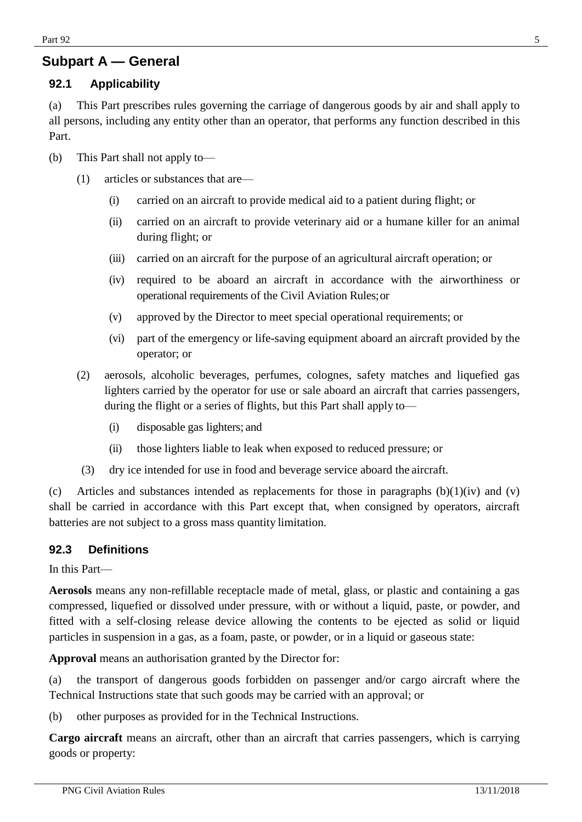# **Subpart A — General**

# **92.1 Applicability**

(a) This Part prescribes rules governing the carriage of dangerous goods by air and shall apply to all persons, including any entity other than an operator, that performs any function described in this Part.

- (b) This Part shall not apply to—
	- (1) articles or substances that are—
		- (i) carried on an aircraft to provide medical aid to a patient during flight; or
		- (ii) carried on an aircraft to provide veterinary aid or a humane killer for an animal during flight; or
		- (iii) carried on an aircraft for the purpose of an agricultural aircraft operation; or
		- (iv) required to be aboard an aircraft in accordance with the airworthiness or operational requirements of the Civil Aviation Rules;or
		- (v) approved by the Director to meet special operational requirements; or
		- (vi) part of the emergency or life-saving equipment aboard an aircraft provided by the operator; or
	- (2) aerosols, alcoholic beverages, perfumes, colognes, safety matches and liquefied gas lighters carried by the operator for use or sale aboard an aircraft that carries passengers, during the flight or a series of flights, but this Part shall apply to—
		- (i) disposable gas lighters; and
		- (ii) those lighters liable to leak when exposed to reduced pressure; or
	- (3) dry ice intended for use in food and beverage service aboard the aircraft.

(c) Articles and substances intended as replacements for those in paragraphs (b)(1)(iv) and (v) shall be carried in accordance with this Part except that, when consigned by operators, aircraft batteries are not subject to a gross mass quantity limitation.

# <span id="page-4-0"></span>**92.3 Definitions**

In this Part—

**Aerosols** means any non-refillable receptacle made of metal, glass, or plastic and containing a gas compressed, liquefied or dissolved under pressure, with or without a liquid, paste, or powder, and fitted with a self-closing release device allowing the contents to be ejected as solid or liquid particles in suspension in a gas, as a foam, paste, or powder, or in a liquid or gaseous state:

**Approval** means an authorisation granted by the Director for:

(a) the transport of dangerous goods forbidden on passenger and/or cargo aircraft where the Technical Instructions state that such goods may be carried with an approval; or

(b) other purposes as provided for in the Technical Instructions.

**Cargo aircraft** means an aircraft, other than an aircraft that carries passengers, which is carrying goods or property: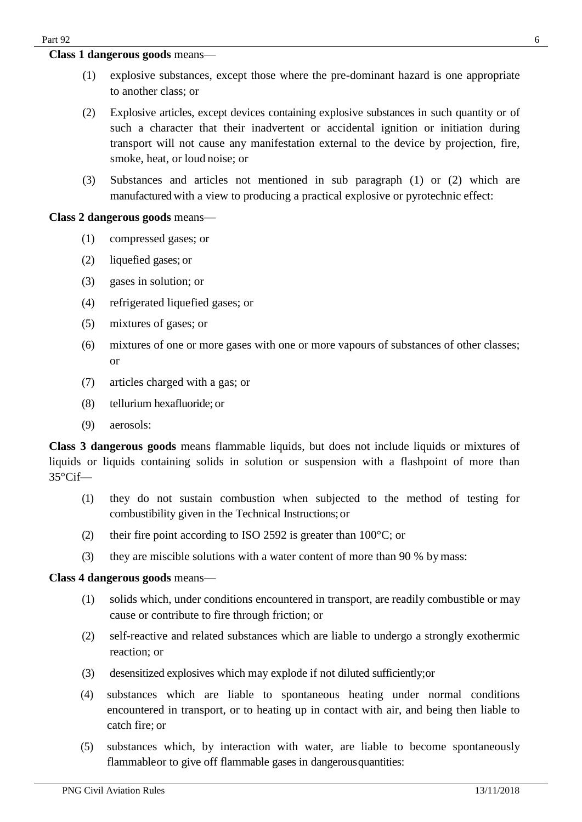#### **Class 1 dangerous goods** means—

- (1) explosive substances, except those where the pre-dominant hazard is one appropriate to another class; or
- (2) Explosive articles, except devices containing explosive substances in such quantity or of such a character that their inadvertent or accidental ignition or initiation during transport will not cause any manifestation external to the device by projection, fire, smoke, heat, or loud noise; or
- (3) Substances and articles not mentioned in sub paragraph (1) or (2) which are manufactured with a view to producing a practical explosive or pyrotechnic effect:

# **Class 2 dangerous goods** means—

- (1) compressed gases; or
- (2) liquefied gases; or
- (3) gases in solution; or
- (4) refrigerated liquefied gases; or
- (5) mixtures of gases; or
- (6) mixtures of one or more gases with one or more vapours of substances of other classes; or
- (7) articles charged with a gas; or
- (8) tellurium hexafluoride; or
- (9) aerosols:

**Class 3 dangerous goods** means flammable liquids, but does not include liquids or mixtures of liquids or liquids containing solids in solution or suspension with a flashpoint of more than 35°Cif—

- (1) they do not sustain combustion when subjected to the method of testing for combustibility given in the Technical Instructions;or
- (2) their fire point according to ISO 2592 is greater than  $100^{\circ}$ C; or
- (3) they are miscible solutions with a water content of more than 90 % by mass:

# **Class 4 dangerous goods** means—

- (1) solids which, under conditions encountered in transport, are readily combustible or may cause or contribute to fire through friction; or
- (2) self-reactive and related substances which are liable to undergo a strongly exothermic reaction; or
- (3) desensitized explosives which may explode if not diluted sufficiently;or
- (4) substances which are liable to spontaneous heating under normal conditions encountered in transport, or to heating up in contact with air, and being then liable to catch fire; or
- (5) substances which, by interaction with water, are liable to become spontaneously flammableor to give off flammable gases in dangerous quantities: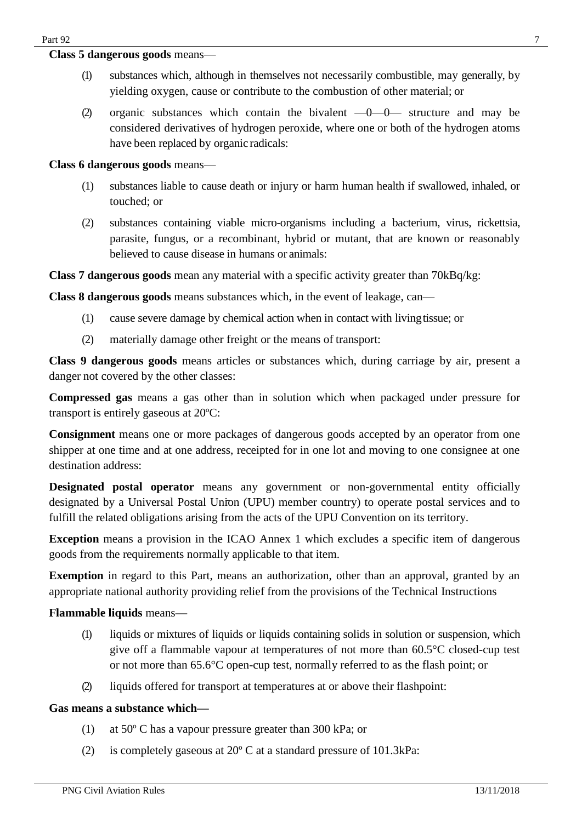### **Class 5 dangerous goods** means—

- (1) substances which, although in themselves not necessarily combustible, may generally, by yielding oxygen, cause or contribute to the combustion of other material; or
- (2) organic substances which contain the bivalent  $-0$ -0- structure and may be considered derivatives of hydrogen peroxide, where one or both of the hydrogen atoms have been replaced by organic radicals:

### **Class 6 dangerous goods** means—

- (1) substances liable to cause death or injury or harm human health if swallowed, inhaled, or touched; or
- (2) substances containing viable micro-organisms including a bacterium, virus, rickettsia, parasite, fungus, or a recombinant, hybrid or mutant, that are known or reasonably believed to cause disease in humans or animals:

**Class 7 dangerous goods** mean any material with a specific activity greater than 70kBq/kg:

**Class 8 dangerous goods** means substances which, in the event of leakage, can—

- (1) cause severe damage by chemical action when in contact with livingtissue; or
- (2) materially damage other freight or the means of transport:

**Class 9 dangerous goods** means articles or substances which, during carriage by air, present a danger not covered by the other classes:

**Compressed gas** means a gas other than in solution which when packaged under pressure for transport is entirely gaseous at 20ºC:

**Consignment** means one or more packages of dangerous goods accepted by an operator from one shipper at one time and at one address, receipted for in one lot and moving to one consignee at one destination address:

**Designated postal operator** means any government or non-governmental entity officially designated by a Universal Postal Union (UPU) member country) to operate postal services and to fulfill the related obligations arising from the acts of the UPU Convention on its territory.

**Exception** means a provision in the ICAO Annex 1 which excludes a specific item of dangerous goods from the requirements normally applicable to that item.

**Exemption** in regard to this Part, means an authorization, other than an approval, granted by an appropriate national authority providing relief from the provisions of the Technical Instructions

### **Flammable liquids** means**—**

- (1) liquids or mixtures of liquids or liquids containing solids in solution or suspension, which give off a flammable vapour at temperatures of not more than 60.5°C closed-cup test or not more than 65.6°C open-cup test, normally referred to as the flash point; or
- (2) liquids offered for transport at temperatures at or above their flashpoint:

### **Gas means a substance which—**

- (1) at 50º C has a vapour pressure greater than 300 kPa; or
- (2) is completely gaseous at 20º C at a standard pressure of 101.3kPa: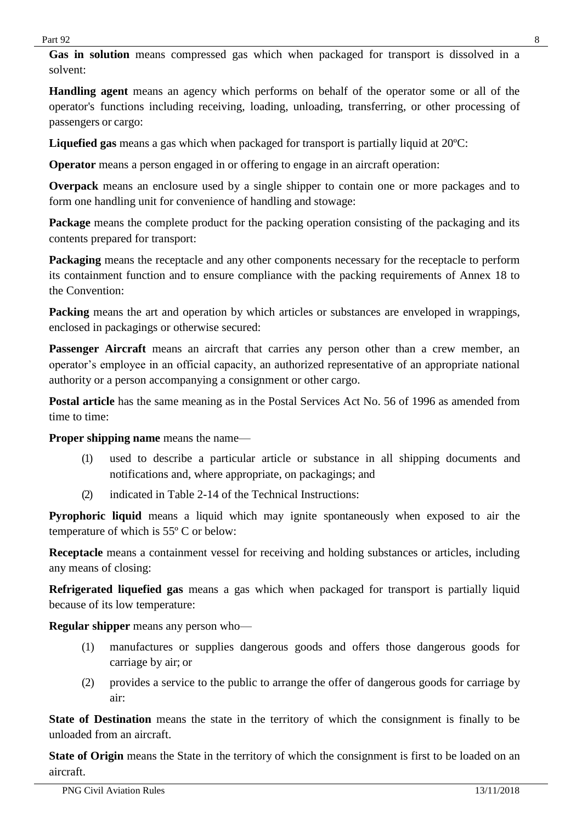**Gas in solution** means compressed gas which when packaged for transport is dissolved in a solvent:

**Handling agent** means an agency which performs on behalf of the operator some or all of the operator's functions including receiving, loading, unloading, transferring, or other processing of passengers or cargo:

**Liquefied gas** means a gas which when packaged for transport is partially liquid at 20ºC:

**Operator** means a person engaged in or offering to engage in an aircraft operation:

**Overpack** means an enclosure used by a single shipper to contain one or more packages and to form one handling unit for convenience of handling and stowage:

**Package** means the complete product for the packing operation consisting of the packaging and its contents prepared for transport:

**Packaging** means the receptacle and any other components necessary for the receptacle to perform its containment function and to ensure compliance with the packing requirements of Annex 18 to the Convention:

**Packing** means the art and operation by which articles or substances are enveloped in wrappings, enclosed in packagings or otherwise secured:

Passenger Aircraft means an aircraft that carries any person other than a crew member, an operator's employee in an official capacity, an authorized representative of an appropriate national authority or a person accompanying a consignment or other cargo.

**Postal article** has the same meaning as in the Postal Services Act No. 56 of 1996 as amended from time to time:

**Proper shipping name** means the name—

- (1) used to describe a particular article or substance in all shipping documents and notifications and, where appropriate, on packagings; and
- (2) indicated in Table 2-14 of the Technical Instructions:

**Pyrophoric liquid** means a liquid which may ignite spontaneously when exposed to air the temperature of which is 55º C or below:

**Receptacle** means a containment vessel for receiving and holding substances or articles, including any means of closing:

**Refrigerated liquefied gas** means a gas which when packaged for transport is partially liquid because of its low temperature:

**Regular shipper** means any person who—

- (1) manufactures or supplies dangerous goods and offers those dangerous goods for carriage by air; or
- (2) provides a service to the public to arrange the offer of dangerous goods for carriage by air:

**State of Destination** means the state in the territory of which the consignment is finally to be unloaded from an aircraft.

**State of Origin** means the State in the territory of which the consignment is first to be loaded on an aircraft.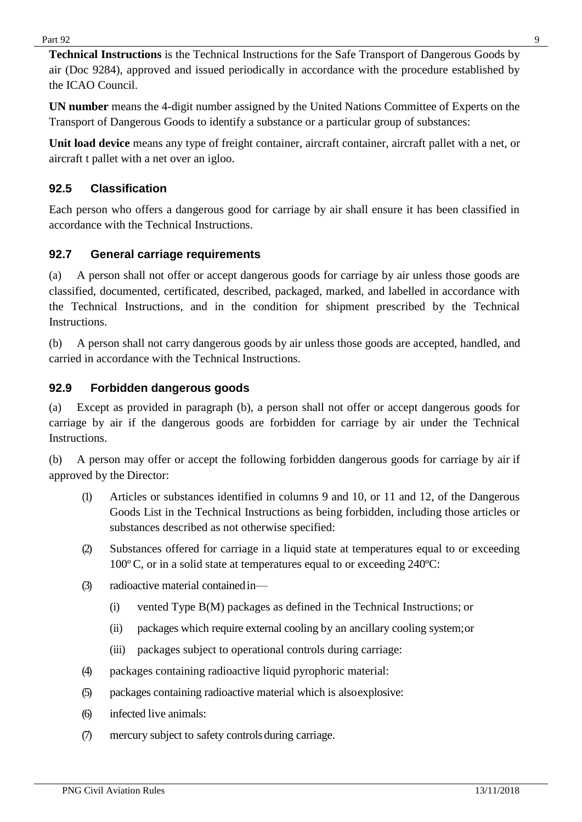**Technical Instructions** is the Technical Instructions for the Safe Transport of Dangerous Goods by air (Doc 9284), approved and issued periodically in accordance with the procedure established by the ICAO Council.

**UN number** means the 4-digit number assigned by the United Nations Committee of Experts on the Transport of Dangerous Goods to identify a substance or a particular group of substances:

**Unit load device** means any type of freight container, aircraft container, aircraft pallet with a net, or aircraft t pallet with a net over an igloo.

# <span id="page-8-0"></span>**92.5 Classification**

Each person who offers a dangerous good for carriage by air shall ensure it has been classified in accordance with the Technical Instructions.

# <span id="page-8-1"></span>**92.7 General carriage requirements**

(a) A person shall not offer or accept dangerous goods for carriage by air unless those goods are classified, documented, certificated, described, packaged, marked, and labelled in accordance with the Technical Instructions, and in the condition for shipment prescribed by the Technical Instructions.

(b) A person shall not carry dangerous goods by air unless those goods are accepted, handled, and carried in accordance with the Technical Instructions.

# <span id="page-8-2"></span>**92.9 Forbidden dangerous goods**

(a) Except as provided in paragraph (b), a person shall not offer or accept dangerous goods for carriage by air if the dangerous goods are forbidden for carriage by air under the Technical Instructions.

(b) A person may offer or accept the following forbidden dangerous goods for carriage by air if approved by the Director:

- (1) Articles or substances identified in columns 9 and 10, or 11 and 12, of the Dangerous Goods List in the Technical Instructions as being forbidden, including those articles or substances described as not otherwise specified:
- (2) Substances offered for carriage in a liquid state at temperatures equal to or exceeding 100º C, or in a solid state at temperatures equal to or exceeding 240ºC:
- (3) radioactive material containedin—
	- (i) vented Type B(M) packages as defined in the Technical Instructions; or
	- (ii) packages which require external cooling by an ancillary cooling system;or
	- (iii) packages subject to operational controls during carriage:
- (4) packages containing radioactive liquid pyrophoric material:
- (5) packages containing radioactive material which is alsoexplosive:
- (6) infected live animals:
- <span id="page-8-3"></span>(7) mercury subject to safety controlsduring carriage.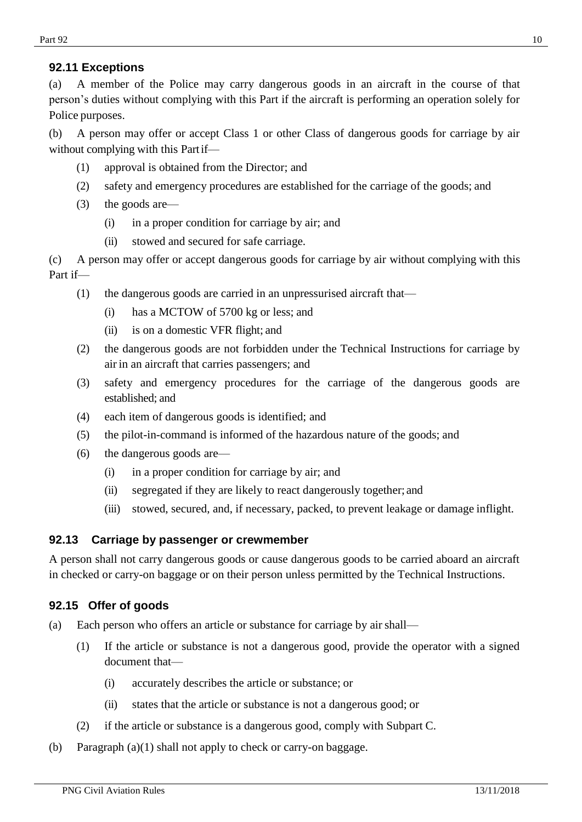# **92.11 Exceptions**

(a) A member of the Police may carry dangerous goods in an aircraft in the course of that person's duties without complying with this Part if the aircraft is performing an operation solely for Police purposes.

(b) A person may offer or accept Class 1 or other Class of dangerous goods for carriage by air without complying with this Partif—

- (1) approval is obtained from the Director; and
- (2) safety and emergency procedures are established for the carriage of the goods; and
- (3) the goods are—
	- (i) in a proper condition for carriage by air; and
	- (ii) stowed and secured for safe carriage.

(c) A person may offer or accept dangerous goods for carriage by air without complying with this Part if—

- (1) the dangerous goods are carried in an unpressurised aircraft that—
	- (i) has a MCTOW of 5700 kg or less; and
	- (ii) is on a domestic VFR flight; and
- (2) the dangerous goods are not forbidden under the Technical Instructions for carriage by air in an aircraft that carries passengers; and
- (3) safety and emergency procedures for the carriage of the dangerous goods are established; and
- (4) each item of dangerous goods is identified; and
- (5) the pilot-in-command is informed of the hazardous nature of the goods; and
- (6) the dangerous goods are—
	- (i) in a proper condition for carriage by air; and
	- (ii) segregated if they are likely to react dangerously together; and
	- (iii) stowed, secured, and, if necessary, packed, to prevent leakage or damage inflight.

### <span id="page-9-0"></span>**92.13 Carriage by passenger or crewmember**

A person shall not carry dangerous goods or cause dangerous goods to be carried aboard an aircraft in checked or carry-on baggage or on their person unless permitted by the Technical Instructions.

# <span id="page-9-1"></span>**92.15 Offer of goods**

- (a) Each person who offers an article or substance for carriage by airshall—
	- (1) If the article or substance is not a dangerous good, provide the operator with a signed document that—
		- (i) accurately describes the article or substance; or
		- (ii) states that the article or substance is not a dangerous good; or
	- (2) if the article or substance is a dangerous good, comply with Subpart C.
- (b) Paragraph (a)(1) shall not apply to check or carry-on baggage.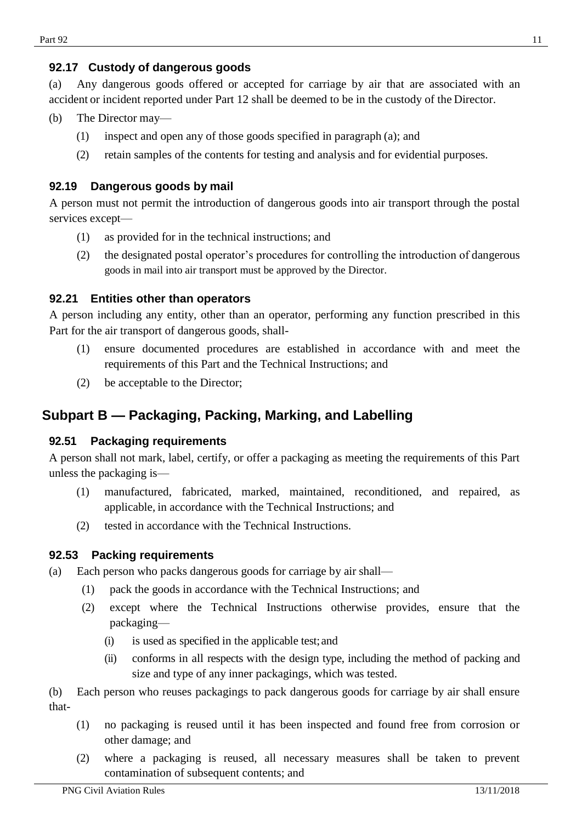# <span id="page-10-0"></span>**92.17 Custody of dangerous goods**

(a) Any dangerous goods offered or accepted for carriage by air that are associated with an accident or incident reported under Part 12 shall be deemed to be in the custody of the Director.

- (b) The Director may—
	- (1) inspect and open any of those goods specified in paragraph (a); and
	- (2) retain samples of the contents for testing and analysis and for evidential purposes.

### <span id="page-10-1"></span>**92.19 Dangerous goods by mail**

A person must not permit the introduction of dangerous goods into air transport through the postal services except—

- (1) as provided for in the technical instructions; and
- (2) the designated postal operator's procedures for controlling the introduction of dangerous goods in mail into air transport must be approved by the Director.

### **92.21 Entities other than operators**

A person including any entity, other than an operator, performing any function prescribed in this Part for the air transport of dangerous goods, shall-

- (1) ensure documented procedures are established in accordance with and meet the requirements of this Part and the Technical Instructions; and
- (2) be acceptable to the Director;

# <span id="page-10-3"></span><span id="page-10-2"></span>**Subpart B — Packaging, Packing, Marking, and Labelling**

### **92.51 Packaging requirements**

A person shall not mark, label, certify, or offer a packaging as meeting the requirements of this Part unless the packaging is—

- (1) manufactured, fabricated, marked, maintained, reconditioned, and repaired, as applicable, in accordance with the Technical Instructions; and
- (2) tested in accordance with the Technical Instructions.

### <span id="page-10-4"></span>**92.53 Packing requirements**

- (a) Each person who packs dangerous goods for carriage by air shall—
	- (1) pack the goods in accordance with the Technical Instructions; and
	- (2) except where the Technical Instructions otherwise provides, ensure that the packaging—
		- (i) is used as specified in the applicable test;and
		- (ii) conforms in all respects with the design type, including the method of packing and size and type of any inner packagings, which was tested.

(b) Each person who reuses packagings to pack dangerous goods for carriage by air shall ensure that-

- (1) no packaging is reused until it has been inspected and found free from corrosion or other damage; and
- (2) where a packaging is reused, all necessary measures shall be taken to prevent contamination of subsequent contents; and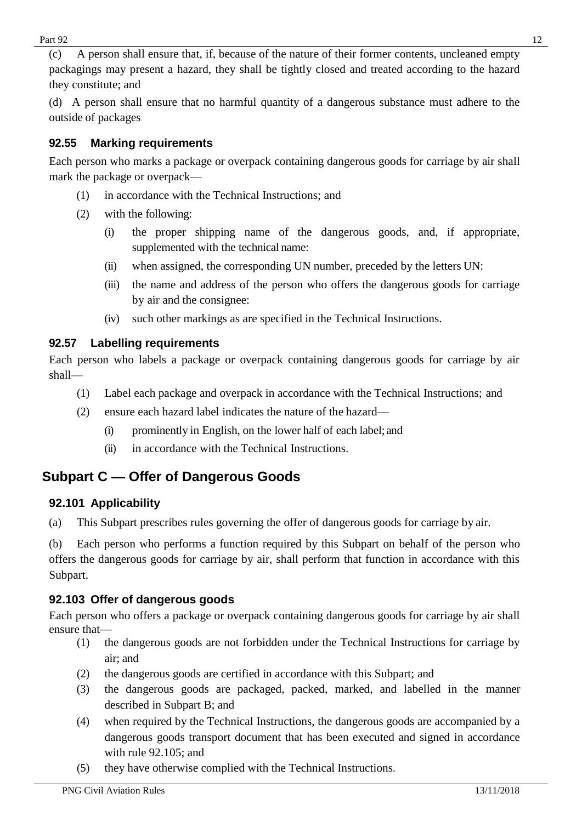(c) A person shall ensure that, if, because of the nature of their former contents, uncleaned empty packagings may present a hazard, they shall be tightly closed and treated according to the hazard they constitute; and

(d) A person shall ensure that no harmful quantity of a dangerous substance must adhere to the outside of packages

# <span id="page-11-0"></span>**92.55 Marking requirements**

Each person who marks a package or overpack containing dangerous goods for carriage by air shall mark the package or overpack—

- (1) in accordance with the Technical Instructions; and
- (2) with the following:
	- (i) the proper shipping name of the dangerous goods, and, if appropriate, supplemented with the technical name:
	- (ii) when assigned, the corresponding UN number, preceded by the letters UN:
	- (iii) the name and address of the person who offers the dangerous goods for carriage by air and the consignee:
	- (iv) such other markings as are specified in the Technical Instructions.

# <span id="page-11-1"></span>**92.57 Labelling requirements**

Each person who labels a package or overpack containing dangerous goods for carriage by air shall—

- (1) Label each package and overpack in accordance with the Technical Instructions; and
- (2) ensure each hazard label indicates the nature of the hazard—
	- (i) prominently in English, on the lower half of each label; and
	- (ii) in accordance with the Technical Instructions.

# <span id="page-11-3"></span><span id="page-11-2"></span>**Subpart C — Offer of Dangerous Goods**

# **92.101 Applicability**

(a) This Subpart prescribes rules governing the offer of dangerous goods for carriage by air.

(b) Each person who performs a function required by this Subpart on behalf of the person who offers the dangerous goods for carriage by air, shall perform that function in accordance with this Subpart.

# <span id="page-11-4"></span>**92.103 Offer of dangerous goods**

Each person who offers a package or overpack containing dangerous goods for carriage by air shall ensure that—

- (1) the dangerous goods are not forbidden under the Technical Instructions for carriage by air; and
- (2) the dangerous goods are certified in accordance with this Subpart; and
- (3) the dangerous goods are packaged, packed, marked, and labelled in the manner described in Subpart B; and
- (4) when required by the Technical Instructions, the dangerous goods are accompanied by a dangerous goods transport document that has been executed and signed in accordance with rule 92.105; and
- (5) they have otherwise complied with the Technical Instructions.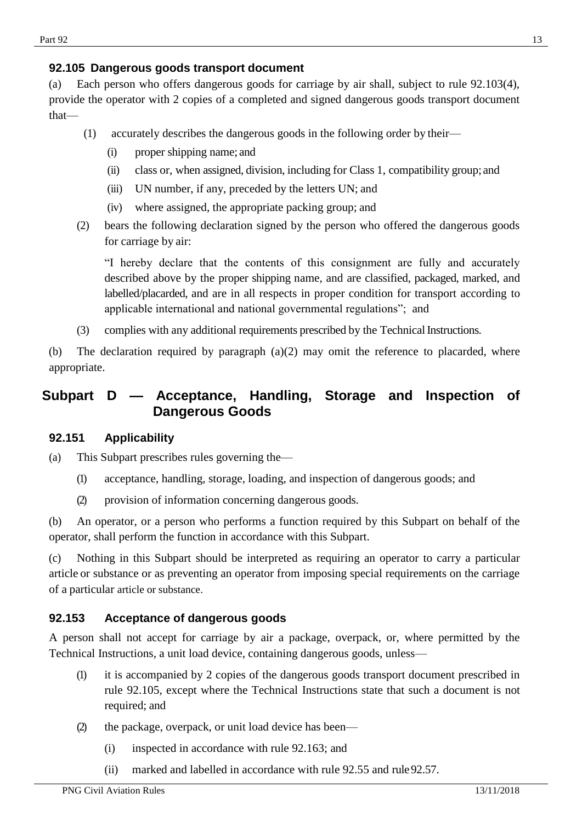# <span id="page-12-0"></span>**92.105 Dangerous goods transport document**

(a) Each person who offers dangerous goods for carriage by air shall, subject to rule 92.103(4), provide the operator with 2 copies of a completed and signed dangerous goods transport document that—

- (1) accurately describes the dangerous goods in the following order by their—
	- (i) proper shipping name; and
	- (ii) class or, when assigned, division, including for Class 1, compatibility group; and
	- (iii) UN number, if any, preceded by the letters UN; and
	- (iv) where assigned, the appropriate packing group; and
- (2) bears the following declaration signed by the person who offered the dangerous goods for carriage by air:

"I hereby declare that the contents of this consignment are fully and accurately described above by the proper shipping name, and are classified, packaged, marked, and labelled/placarded, and are in all respects in proper condition for transport according to applicable international and national governmental regulations"; and

(3) complies with any additional requirements prescribed by the TechnicalInstructions.

(b) The declaration required by paragraph (a)(2) may omit the reference to placarded, where appropriate.

# <span id="page-12-1"></span>**Subpart D — Acceptance, Handling, Storage and Inspection of Dangerous Goods**

# <span id="page-12-2"></span>**92.151 Applicability**

(a) This Subpart prescribes rules governing the—

- (1) acceptance, handling, storage, loading, and inspection of dangerous goods; and
- (2) provision of information concerning dangerous goods.

(b) An operator, or a person who performs a function required by this Subpart on behalf of the operator, shall perform the function in accordance with this Subpart.

(c) Nothing in this Subpart should be interpreted as requiring an operator to carry a particular article or substance or as preventing an operator from imposing special requirements on the carriage of a particular article or substance.

# <span id="page-12-3"></span>**92.153 Acceptance of dangerous goods**

A person shall not accept for carriage by air a package, overpack, or, where permitted by the Technical Instructions, a unit load device, containing dangerous goods, unless—

- (1) it is accompanied by 2 copies of the dangerous goods transport document prescribed in rule 92.105, except where the Technical Instructions state that such a document is not required; and
- (2) the package, overpack, or unit load device has been—
	- (i) inspected in accordance with rule 92.163; and
	- (ii) marked and labelled in accordance with rule 92.55 and rule 92.57.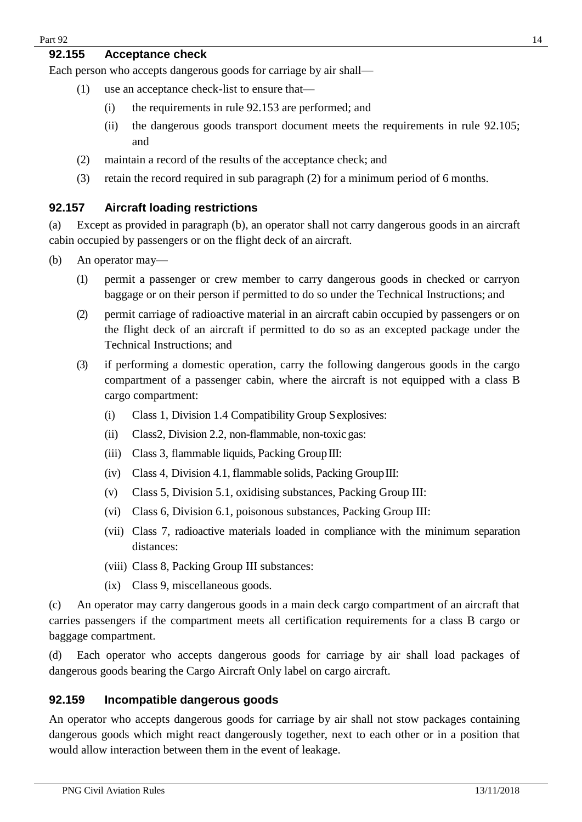### <span id="page-13-0"></span>**92.155 Acceptance check**

Each person who accepts dangerous goods for carriage by air shall—

- (1) use an acceptance check-list to ensure that—
	- (i) the requirements in rule 92.153 are performed; and
	- (ii) the dangerous goods transport document meets the requirements in rule 92.105; and
- (2) maintain a record of the results of the acceptance check; and
- (3) retain the record required in sub paragraph (2) for a minimum period of 6 months.

### <span id="page-13-1"></span>**92.157 Aircraft loading restrictions**

(a) Except as provided in paragraph (b), an operator shall not carry dangerous goods in an aircraft cabin occupied by passengers or on the flight deck of an aircraft.

- (b) An operator may—
	- (1) permit a passenger or crew member to carry dangerous goods in checked or carryon baggage or on their person if permitted to do so under the Technical Instructions; and
	- (2) permit carriage of radioactive material in an aircraft cabin occupied by passengers or on the flight deck of an aircraft if permitted to do so as an excepted package under the Technical Instructions; and
	- (3) if performing a domestic operation, carry the following dangerous goods in the cargo compartment of a passenger cabin, where the aircraft is not equipped with a class B cargo compartment:
		- (i) Class 1, Division 1.4 Compatibility Group Sexplosives:
		- (ii) Class2, Division 2.2, non-flammable, non-toxic gas:
		- (iii) Class 3, flammable liquids, Packing Group  $III$ :
		- (iv) Class 4, Division 4.1, flammable solids, Packing GroupIII:
		- (v) Class 5, Division 5.1, oxidising substances, Packing Group III:
		- (vi) Class 6, Division 6.1, poisonous substances, Packing Group III:
		- (vii) Class 7, radioactive materials loaded in compliance with the minimum separation distances:
		- (viii) Class 8, Packing Group III substances:
		- (ix) Class 9, miscellaneous goods.

(c) An operator may carry dangerous goods in a main deck cargo compartment of an aircraft that carries passengers if the compartment meets all certification requirements for a class B cargo or baggage compartment.

(d) Each operator who accepts dangerous goods for carriage by air shall load packages of dangerous goods bearing the Cargo Aircraft Only label on cargo aircraft.

## <span id="page-13-2"></span>**92.159 Incompatible dangerous goods**

An operator who accepts dangerous goods for carriage by air shall not stow packages containing dangerous goods which might react dangerously together, next to each other or in a position that would allow interaction between them in the event of leakage.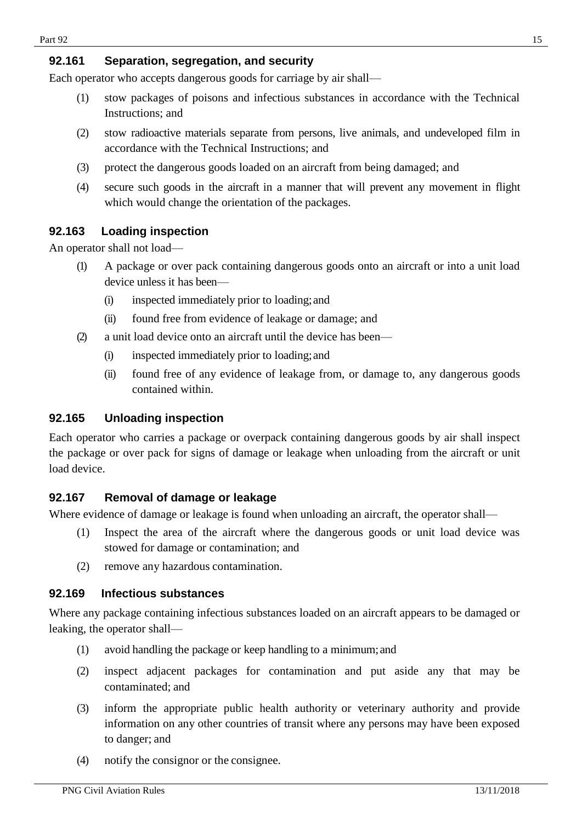# <span id="page-14-0"></span>**92.161 Separation, segregation, and security**

Each operator who accepts dangerous goods for carriage by air shall—

- (1) stow packages of poisons and infectious substances in accordance with the Technical Instructions; and
- (2) stow radioactive materials separate from persons, live animals, and undeveloped film in accordance with the Technical Instructions; and
- (3) protect the dangerous goods loaded on an aircraft from being damaged; and
- (4) secure such goods in the aircraft in a manner that will prevent any movement in flight which would change the orientation of the packages.

# <span id="page-14-1"></span>**92.163 Loading inspection**

An operator shall not load—

- (1) A package or over pack containing dangerous goods onto an aircraft or into a unit load device unless it has been—
	- (i) inspected immediately prior to loading;and
	- (ii) found free from evidence of leakage or damage; and
- (2) a unit load device onto an aircraft until the device has been—
	- (i) inspected immediately prior to loading;and
	- (ii) found free of any evidence of leakage from, or damage to, any dangerous goods contained within.

# <span id="page-14-2"></span>**92.165 Unloading inspection**

Each operator who carries a package or overpack containing dangerous goods by air shall inspect the package or over pack for signs of damage or leakage when unloading from the aircraft or unit load device.

### <span id="page-14-3"></span>**92.167 Removal of damage or leakage**

Where evidence of damage or leakage is found when unloading an aircraft, the operator shall—

- (1) Inspect the area of the aircraft where the dangerous goods or unit load device was stowed for damage or contamination; and
- (2) remove any hazardous contamination.

### <span id="page-14-4"></span>**92.169 Infectious substances**

Where any package containing infectious substances loaded on an aircraft appears to be damaged or leaking, the operator shall—

- (1) avoid handling the package or keep handling to a minimum;and
- (2) inspect adjacent packages for contamination and put aside any that may be contaminated; and
- (3) inform the appropriate public health authority or veterinary authority and provide information on any other countries of transit where any persons may have been exposed to danger; and
- (4) notify the consignor or the consignee.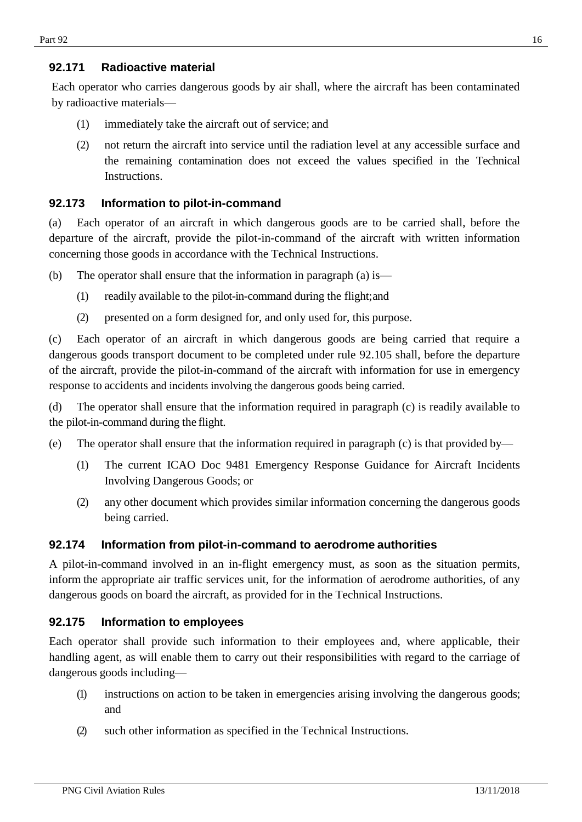# <span id="page-15-0"></span>**92.171 Radioactive material**

Each operator who carries dangerous goods by air shall, where the aircraft has been contaminated by radioactive materials—

- (1) immediately take the aircraft out of service; and
- (2) not return the aircraft into service until the radiation level at any accessible surface and the remaining contamination does not exceed the values specified in the Technical Instructions.

### <span id="page-15-1"></span>**92.173 Information to pilot-in-command**

(a) Each operator of an aircraft in which dangerous goods are to be carried shall, before the departure of the aircraft, provide the pilot-in-command of the aircraft with written information concerning those goods in accordance with the Technical Instructions.

(b) The operator shall ensure that the information in paragraph (a) is—

- (1) readily available to the pilot-in-command during the flight;and
- (2) presented on a form designed for, and only used for, this purpose.

(c) Each operator of an aircraft in which dangerous goods are being carried that require a dangerous goods transport document to be completed under rule 92.105 shall, before the departure of the aircraft, provide the pilot-in-command of the aircraft with information for use in emergency response to accidents and incidents involving the dangerous goods being carried.

(d) The operator shall ensure that the information required in paragraph (c) is readily available to the pilot-in-command during the flight.

- (e) The operator shall ensure that the information required in paragraph (c) is that provided by—
	- (1) The current ICAO Doc 9481 Emergency Response Guidance for Aircraft Incidents Involving Dangerous Goods; or
	- (2) any other document which provides similar information concerning the dangerous goods being carried.

### <span id="page-15-2"></span>**92.174 Information from pilot-in-command to aerodrome authorities**

A pilot-in-command involved in an in-flight emergency must, as soon as the situation permits, inform the appropriate air traffic services unit, for the information of aerodrome authorities, of any dangerous goods on board the aircraft, as provided for in the Technical Instructions.

### <span id="page-15-3"></span>**92.175 Information to employees**

Each operator shall provide such information to their employees and, where applicable, their handling agent, as will enable them to carry out their responsibilities with regard to the carriage of dangerous goods including—

- (1) instructions on action to be taken in emergencies arising involving the dangerous goods; and
- <span id="page-15-4"></span>(2) such other information as specified in the Technical Instructions.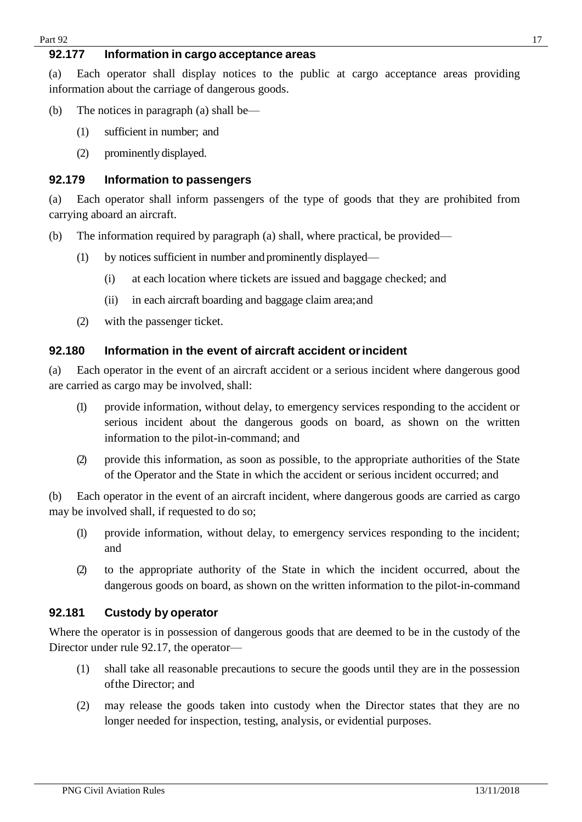# **92.177 Information in cargo acceptance areas**

(a) Each operator shall display notices to the public at cargo acceptance areas providing information about the carriage of dangerous goods.

- (b) The notices in paragraph (a) shall be—
	- (1) sufficient in number; and
	- (2) prominently displayed.

### <span id="page-16-0"></span>**92.179 Information to passengers**

(a) Each operator shall inform passengers of the type of goods that they are prohibited from carrying aboard an aircraft.

- (b) The information required by paragraph (a) shall, where practical, be provided—
	- (1) by notices sufficient in number and prominently displayed—
		- (i) at each location where tickets are issued and baggage checked; and
		- (ii) in each aircraft boarding and baggage claim area;and
	- (2) with the passenger ticket.

### <span id="page-16-1"></span>**92.180 Information in the event of aircraft accident orincident**

(a) Each operator in the event of an aircraft accident or a serious incident where dangerous good are carried as cargo may be involved, shall:

- (1) provide information, without delay, to emergency services responding to the accident or serious incident about the dangerous goods on board, as shown on the written information to the pilot-in-command; and
- (2) provide this information, as soon as possible, to the appropriate authorities of the State of the Operator and the State in which the accident or serious incident occurred; and

(b) Each operator in the event of an aircraft incident, where dangerous goods are carried as cargo may be involved shall, if requested to do so;

- (1) provide information, without delay, to emergency services responding to the incident; and
- (2) to the appropriate authority of the State in which the incident occurred, about the dangerous goods on board, as shown on the written information to the pilot-in-command

### <span id="page-16-2"></span>**92.181 Custody by operator**

Where the operator is in possession of dangerous goods that are deemed to be in the custody of the Director under rule 92.17, the operator—

- (1) shall take all reasonable precautions to secure the goods until they are in the possession ofthe Director; and
- (2) may release the goods taken into custody when the Director states that they are no longer needed for inspection, testing, analysis, or evidential purposes.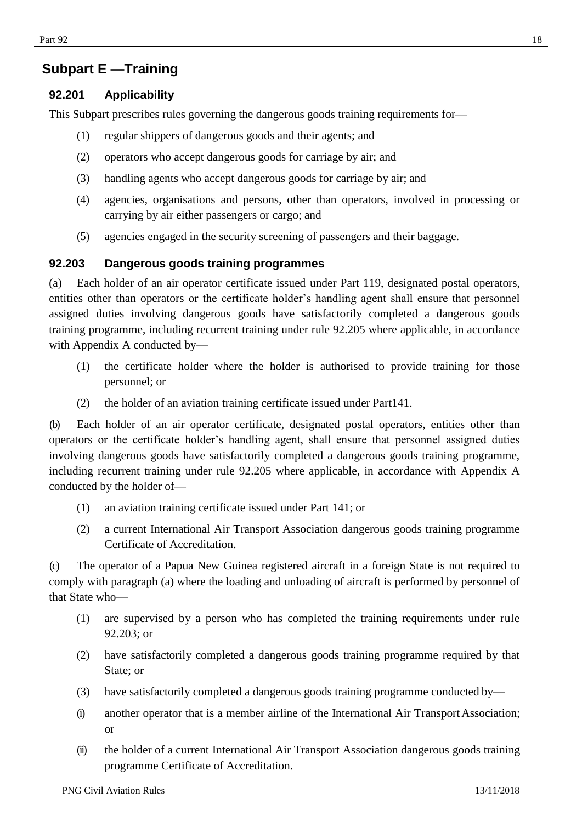# <span id="page-17-0"></span>**Subpart E —Training**

# <span id="page-17-1"></span>**92.201 Applicability**

This Subpart prescribes rules governing the dangerous goods training requirements for—

- (1) regular shippers of dangerous goods and their agents; and
- (2) operators who accept dangerous goods for carriage by air; and
- (3) handling agents who accept dangerous goods for carriage by air; and
- (4) agencies, organisations and persons, other than operators, involved in processing or carrying by air either passengers or cargo; and
- (5) agencies engaged in the security screening of passengers and their baggage.

# <span id="page-17-2"></span>**92.203 Dangerous goods training programmes**

(a) Each holder of an air operator certificate issued under Part 119, designated postal operators, entities other than operators or the certificate holder's handling agent shall ensure that personnel assigned duties involving dangerous goods have satisfactorily completed a dangerous goods training programme, including recurrent training under rule 92.205 where applicable, in accordance with Appendix A conducted by—

- (1) the certificate holder where the holder is authorised to provide training for those personnel; or
- (2) the holder of an aviation training certificate issued under Part141.

(b) Each holder of an air operator certificate, designated postal operators, entities other than operators or the certificate holder's handling agent, shall ensure that personnel assigned duties involving dangerous goods have satisfactorily completed a dangerous goods training programme, including recurrent training under rule 92.205 where applicable, in accordance with Appendix A conducted by the holder of—

- (1) an aviation training certificate issued under Part 141; or
- (2) a current International Air Transport Association dangerous goods training programme Certificate of Accreditation.

(c) The operator of a Papua New Guinea registered aircraft in a foreign State is not required to comply with paragraph (a) where the loading and unloading of aircraft is performed by personnel of that State who—

- (1) are supervised by a person who has completed the training requirements under rule 92.203; or
- (2) have satisfactorily completed a dangerous goods training programme required by that State; or
- (3) have satisfactorily completed a dangerous goods training programme conducted by—
- (i) another operator that is a member airline of the International Air TransportAssociation; or
- (ii) the holder of a current International Air Transport Association dangerous goods training programme Certificate of Accreditation.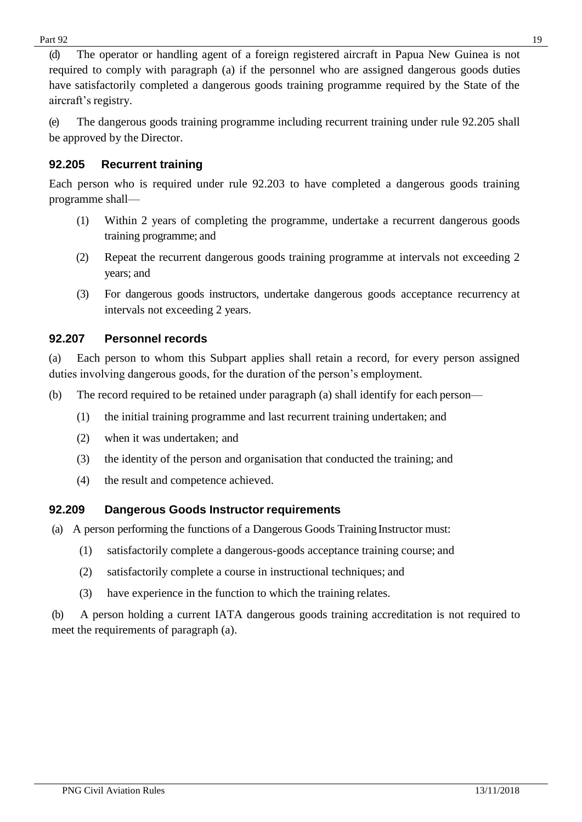(d) The operator or handling agent of a foreign registered aircraft in Papua New Guinea is not required to comply with paragraph (a) if the personnel who are assigned dangerous goods duties have satisfactorily completed a dangerous goods training programme required by the State of the aircraft's registry.

(e) The dangerous goods training programme including recurrent training under rule 92.205 shall be approved by the Director.

# <span id="page-18-0"></span>**92.205 Recurrent training**

Each person who is required under rule 92.203 to have completed a dangerous goods training programme shall—

- (1) Within 2 years of completing the programme, undertake a recurrent dangerous goods training programme; and
- (2) Repeat the recurrent dangerous goods training programme at intervals not exceeding 2 years; and
- (3) For dangerous goods instructors, undertake dangerous goods acceptance recurrency at intervals not exceeding 2 years.

# <span id="page-18-1"></span>**92.207 Personnel records**

(a) Each person to whom this Subpart applies shall retain a record, for every person assigned duties involving dangerous goods, for the duration of the person's employment.

- (b) The record required to be retained under paragraph (a) shall identify for each person—
	- (1) the initial training programme and last recurrent training undertaken; and
	- (2) when it was undertaken; and
	- (3) the identity of the person and organisation that conducted the training; and
	- (4) the result and competence achieved.

# <span id="page-18-2"></span>**92.209 Dangerous Goods Instructor requirements**

- (a) A person performing the functions of a Dangerous Goods Training Instructor must:
	- (1) satisfactorily complete a dangerous-goods acceptance training course; and
	- (2) satisfactorily complete a course in instructional techniques; and
	- (3) have experience in the function to which the training relates.

(b) A person holding a current IATA dangerous goods training accreditation is not required to meet the requirements of paragraph (a).